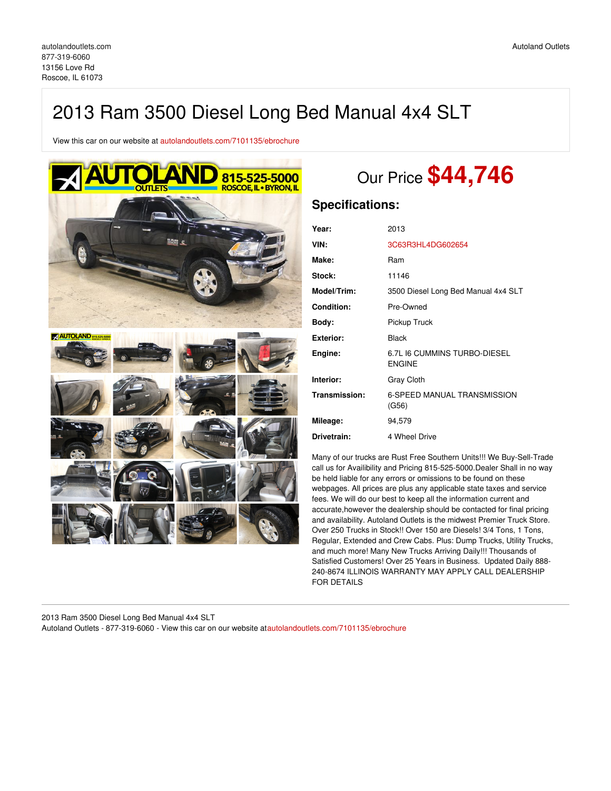## 2013 Ram 3500 Diesel Long Bed Manual 4x4 SLT

View this car on our website at [autolandoutlets.com/7101135/ebrochure](https://autolandoutlets.com/vehicle/7101135/2013-ram-3500-diesel-long-bed-manual-4x4-slt-roscoe-il-61073/7101135/ebrochure)



# Our Price **\$44,746**

## **Specifications:**

| Year:             | 2013                                          |
|-------------------|-----------------------------------------------|
| VIN:              | 3C63R3HL4DG602654                             |
| Make:             | Ram                                           |
| Stock:            | 11146                                         |
| Model/Trim:       | 3500 Diesel Long Bed Manual 4x4 SLT           |
| <b>Condition:</b> | Pre-Owned                                     |
| Body:             | Pickup Truck                                  |
| <b>Exterior:</b>  | <b>Black</b>                                  |
| Engine:           | 6.7L I6 CUMMINS TURBO-DIESEL<br><b>ENGINE</b> |
| Interior:         | Gray Cloth                                    |
| Transmission:     | <b>6-SPEED MANUAL TRANSMISSION</b><br>(G56)   |
| Mileage:          | 94,579                                        |
| Drivetrain:       | 4 Wheel Drive                                 |

Many of our trucks are Rust Free Southern Units!!! We Buy-Sell-Trade call us for Availibility and Pricing 815-525-5000.Dealer Shall in no way be held liable for any errors or omissions to be found on these webpages. All prices are plus any applicable state taxes and service fees. We will do our best to keep all the information current and accurate,however the dealership should be contacted for final pricing and availability. Autoland Outlets is the midwest Premier Truck Store. Over 250 Trucks in Stock!! Over 150 are Diesels! 3/4 Tons, 1 Tons, Regular, Extended and Crew Cabs. Plus: Dump Trucks, Utility Trucks, and much more! Many New Trucks Arriving Daily!!! Thousands of Satisfied Customers! Over 25 Years in Business. Updated Daily 888- 240-8674 ILLINOIS WARRANTY MAY APPLY CALL DEALERSHIP FOR DETAILS

2013 Ram 3500 Diesel Long Bed Manual 4x4 SLT Autoland Outlets - 877-319-6060 - View this car on our website at[autolandoutlets.com/7101135/ebrochure](https://autolandoutlets.com/vehicle/7101135/2013-ram-3500-diesel-long-bed-manual-4x4-slt-roscoe-il-61073/7101135/ebrochure)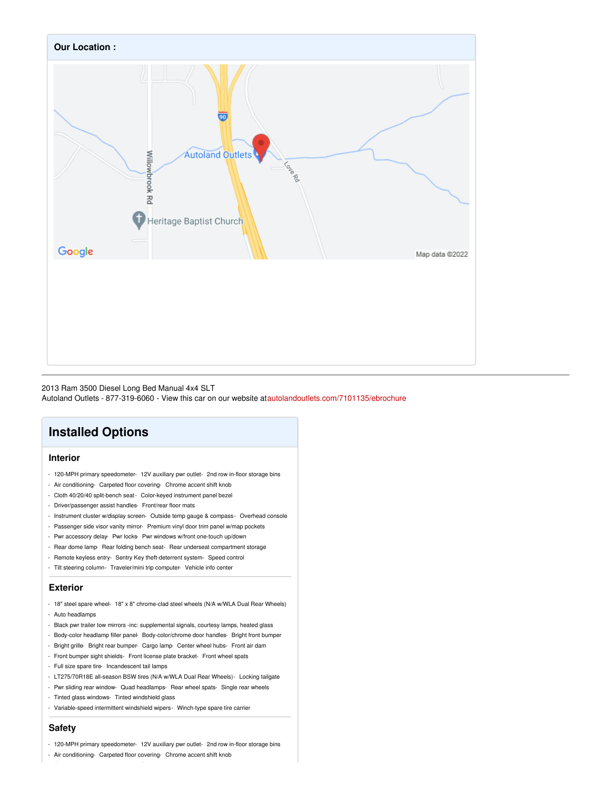

2013 Ram 3500 Diesel Long Bed Manual 4x4 SLT Autoland Outlets - 877-319-6060 - View this car on our website at[autolandoutlets.com/7101135/ebrochure](https://autolandoutlets.com/vehicle/7101135/2013-ram-3500-diesel-long-bed-manual-4x4-slt-roscoe-il-61073/7101135/ebrochure)

## **Installed Options**

#### **Interior**

- 120-MPH primary speedometer- 12V auxiliary pwr outlet- 2nd row in-floor storage bins
- Air conditioning- Carpeted floor covering- Chrome accent shift knob
- Cloth 40/20/40 split-bench seat- Color-keyed instrument panel bezel
- Driver/passenger assist handles- Front/rear floor mats
- Instrument cluster w/display screen- Outside temp gauge & compass- Overhead console
- Passenger side visor vanity mirror- Premium vinyl door trim panel w/map pockets
- Pwr accessory delay- Pwr locks- Pwr windows w/front one-touch up/down
- Rear dome lamp- Rear folding bench seat- Rear underseat compartment storage
- Remote keyless entry- Sentry Key theft-deterrent system- Speed control - Tilt steering column- Traveler/mini trip computer- Vehicle info center
- 

#### **Exterior**

- 18" steel spare wheel- 18" x 8" chrome-clad steel wheels (N/A w/WLA Dual Rear Wheels)
- Auto headlamps
- Black pwr trailer tow mirrors -inc: supplemental signals, courtesy lamps, heated glass
- Body-color headlamp filler panel- Body-color/chrome door handles- Bright front bumper
- Bright grille- Bright rear bumper- Cargo lamp- Center wheel hubs- Front air dam
- Front bumper sight shields- Front license plate bracket- Front wheel spats
- Full size spare tire- Incandescent tail lamps
- LT275/70R18E all-season BSW tires (N/A w/WLA Dual Rear Wheels)- Locking tailgate
- Pwr sliding rear window- Quad headlamps- Rear wheel spats- Single rear wheels
- Tinted glass windows- Tinted windshield glass
- Variable-speed intermittent windshield wipers- Winch-type spare tire carrier

#### **Safety**

- 120-MPH primary speedometer- 12V auxiliary pwr outlet- 2nd row in-floor storage bins
- Air conditioning- Carpeted floor covering- Chrome accent shift knob